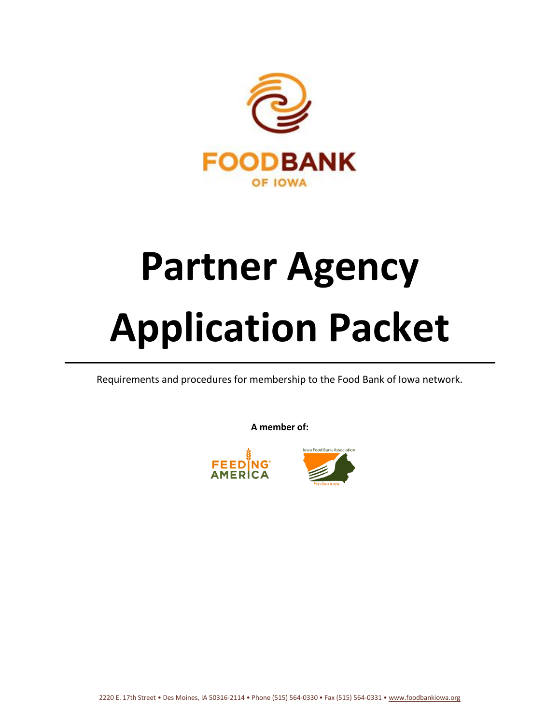

# **Partner Agency Application Packet**

Requirements and procedures for membership to the Food Bank of Iowa network.

**A member of:**



2220 E. 17th Street • Des Moines, IA 50316-2114 • Phone (515) 564-0330 • Fax (515) 564-0331 • [www.foodbankiowa.org](http://www.foodbankiowa.org/)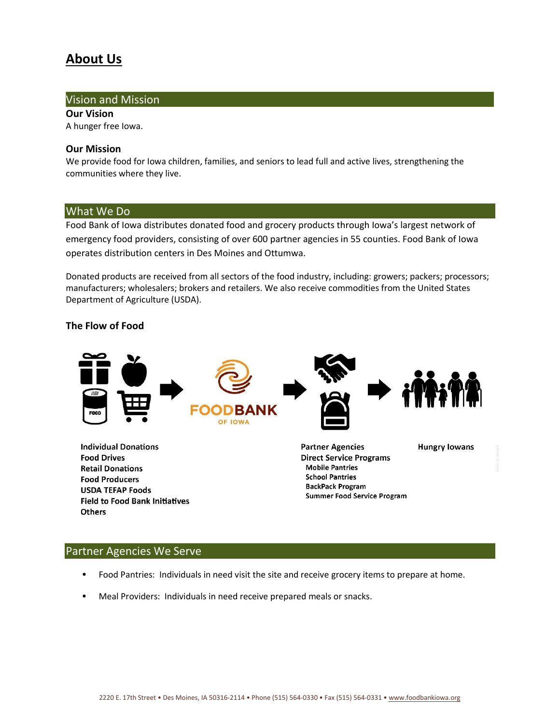## **About Us**

#### Vision and Mission

**Our Vision** A hunger free Iowa.

#### **Our Mission**

We provide food for Iowa children, families, and seniors to lead full and active lives, strengthening the communities where they live.

#### What We Do

Food Bank of Iowa distributes donated food and grocery products through Iowa's largest network of emergency food providers, consisting of over 600 partner agencies in 55 counties. Food Bank of Iowa operates distribution centers in Des Moines and Ottumwa.

Donated products are received from all sectors of the food industry, including: growers; packers; processors; manufacturers; wholesalers; brokers and retailers. We also receive commodities from the United States Department of Agriculture (USDA).

#### **The Flow of Food**



**Food Drives Retail Donations Food Producers USDA TEFAP Foods Field to Food Bank Initiatives** Others

**Direct Service Programs Mobile Pantries School Pantries BackPack Program Summer Food Service Program** 

#### Partner Agencies We Serve

- Food Pantries: Individuals in need visit the site and receive grocery items to prepare at home.
- Meal Providers: Individuals in need receive prepared meals or snacks.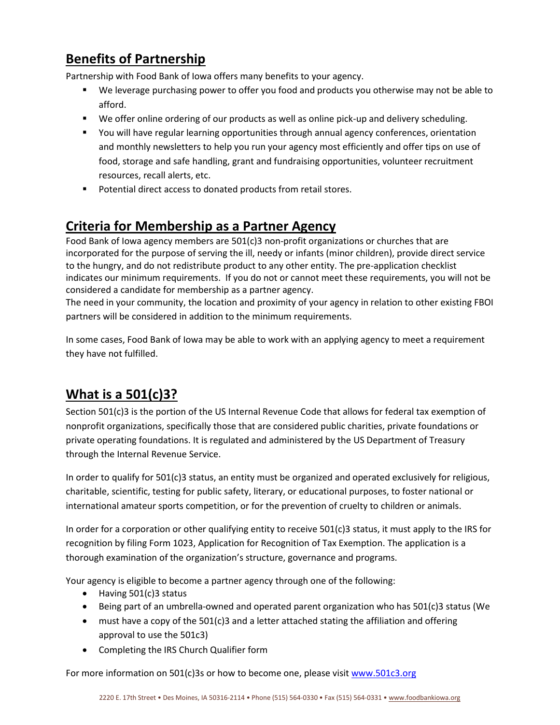## **Benefits of Partnership**

Partnership with Food Bank of Iowa offers many benefits to your agency.

- We leverage purchasing power to offer you food and products you otherwise may not be able to afford.
- We offer online ordering of our products as well as online pick-up and delivery scheduling.
- You will have regular learning opportunities through annual agency conferences, orientation and monthly newsletters to help you run your agency most efficiently and offer tips on use of food, storage and safe handling, grant and fundraising opportunities, volunteer recruitment resources, recall alerts, etc.
- Potential direct access to donated products from retail stores.

## **Criteria for Membership as a Partner Agency**

Food Bank of Iowa agency members are 501(c)3 non-profit organizations or churches that are incorporated for the purpose of serving the ill, needy or infants (minor children), provide direct service to the hungry, and do not redistribute product to any other entity. The pre-application checklist indicates our minimum requirements. If you do not or cannot meet these requirements, you will not be considered a candidate for membership as a partner agency.

The need in your community, the location and proximity of your agency in relation to other existing FBOI partners will be considered in addition to the minimum requirements.

In some cases, Food Bank of Iowa may be able to work with an applying agency to meet a requirement they have not fulfilled.

## **What is a 501(c)3?**

Section 501(c)3 is the portion of the US Internal Revenue Code that allows for federal tax exemption of nonprofit organizations, specifically those that are considered public charities, private foundations or private operating foundations. It is regulated and administered by the US Department of Treasury through the Internal Revenue Service.

In order to qualify for 501(c)3 status, an entity must be organized and operated exclusively for religious, charitable, scientific, testing for public safety, literary, or educational purposes, to foster national or international amateur sports competition, or for the prevention of cruelty to children or animals.

In order for a corporation or other qualifying entity to receive 501(c)3 status, it must apply to the IRS for recognition by filing Form 1023, Application for Recognition of Tax Exemption. The application is a thorough examination of the organization's structure, governance and programs.

Your agency is eligible to become a partner agency through one of the following:

- Having 501(c)3 status
- Being part of an umbrella-owned and operated parent organization who has 501(c)3 status (We
- $\bullet$  must have a copy of the 501(c)3 and a letter attached stating the affiliation and offering approval to use the 501c3)
- Completing the IRS Church Qualifier form

For more information on 501(c)3s or how to become one, please visit [www.501c3.org](http://www.501c3.org/)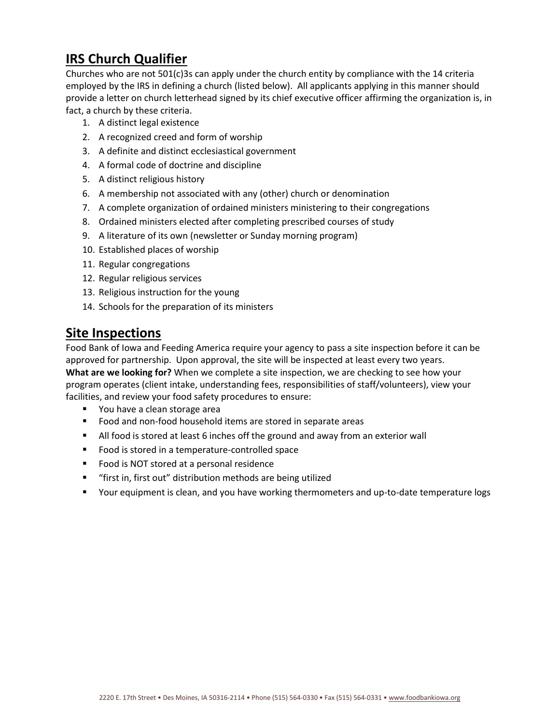## **IRS Church Qualifier**

Churches who are not 501(c)3s can apply under the church entity by compliance with the 14 criteria employed by the IRS in defining a church (listed below). All applicants applying in this manner should provide a letter on church letterhead signed by its chief executive officer affirming the organization is, in fact, a church by these criteria.

- 1. A distinct legal existence
- 2. A recognized creed and form of worship
- 3. A definite and distinct ecclesiastical government
- 4. A formal code of doctrine and discipline
- 5. A distinct religious history
- 6. A membership not associated with any (other) church or denomination
- 7. A complete organization of ordained ministers ministering to their congregations
- 8. Ordained ministers elected after completing prescribed courses of study
- 9. A literature of its own (newsletter or Sunday morning program)
- 10. Established places of worship
- 11. Regular congregations
- 12. Regular religious services
- 13. Religious instruction for the young
- 14. Schools for the preparation of its ministers

### **Site Inspections**

Food Bank of Iowa and Feeding America require your agency to pass a site inspection before it can be approved for partnership. Upon approval, the site will be inspected at least every two years. **What are we looking for?** When we complete a site inspection, we are checking to see how your program operates (client intake, understanding fees, responsibilities of staff/volunteers), view your facilities, and review your food safety procedures to ensure:

- You have a clean storage area
- Food and non-food household items are stored in separate areas
- All food is stored at least 6 inches off the ground and away from an exterior wall
- Food is stored in a temperature-controlled space
- Food is NOT stored at a personal residence
- "first in, first out" distribution methods are being utilized
- Your equipment is clean, and you have working thermometers and up-to-date temperature logs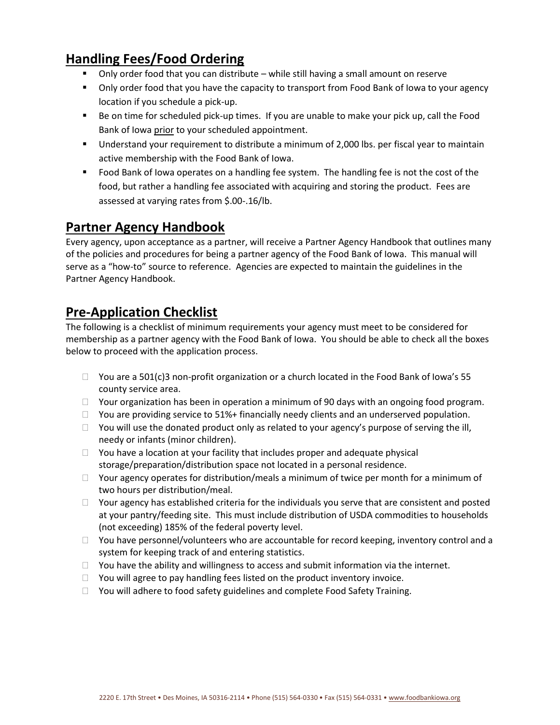## **Handling Fees/Food Ordering**

- Only order food that you can distribute while still having a small amount on reserve
- Only order food that you have the capacity to transport from Food Bank of Iowa to your agency location if you schedule a pick-up.
- Be on time for scheduled pick-up times. If you are unable to make your pick up, call the Food Bank of Iowa prior to your scheduled appointment.
- **■** Understand your requirement to distribute a minimum of 2,000 lbs. per fiscal year to maintain active membership with the Food Bank of Iowa.
- Food Bank of Iowa operates on a handling fee system. The handling fee is not the cost of the food, but rather a handling fee associated with acquiring and storing the product. Fees are assessed at varying rates from \$.00-.16/lb.

## **Partner Agency Handbook**

Every agency, upon acceptance as a partner, will receive a Partner Agency Handbook that outlines many of the policies and procedures for being a partner agency of the Food Bank of Iowa. This manual will serve as a "how-to" source to reference. Agencies are expected to maintain the guidelines in the Partner Agency Handbook.

## **Pre-Application Checklist**

The following is a checklist of minimum requirements your agency must meet to be considered for membership as a partner agency with the Food Bank of Iowa. You should be able to check all the boxes below to proceed with the application process.

- $\Box$  You are a 501(c)3 non-profit organization or a church located in the Food Bank of Iowa's 55 county service area.
- $\Box$  Your organization has been in operation a minimum of 90 days with an ongoing food program.
- $\Box$  You are providing service to 51%+ financially needy clients and an underserved population.
- $\Box$  You will use the donated product only as related to your agency's purpose of serving the ill, needy or infants (minor children).
- $\Box$  You have a location at your facility that includes proper and adequate physical storage/preparation/distribution space not located in a personal residence.
- $\Box$  Your agency operates for distribution/meals a minimum of twice per month for a minimum of two hours per distribution/meal.
- $\Box$  Your agency has established criteria for the individuals you serve that are consistent and posted at your pantry/feeding site. This must include distribution of USDA commodities to households (not exceeding) 185% of the federal poverty level.
- $\Box$  You have personnel/volunteers who are accountable for record keeping, inventory control and a system for keeping track of and entering statistics.
- $\Box$  You have the ability and willingness to access and submit information via the internet.
- $\Box$  You will agree to pay handling fees listed on the product inventory invoice.
- $\Box$  You will adhere to food safety guidelines and complete Food Safety Training.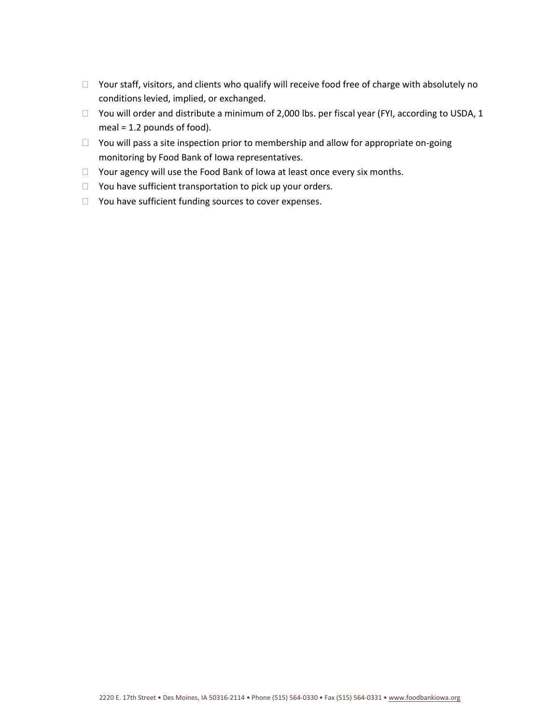- □ Your staff, visitors, and clients who qualify will receive food free of charge with absolutely no conditions levied, implied, or exchanged.
- □ You will order and distribute a minimum of 2,000 lbs. per fiscal year (FYI, according to USDA, 1 meal = 1.2 pounds of food).
- $\Box$  You will pass a site inspection prior to membership and allow for appropriate on-going monitoring by Food Bank of Iowa representatives.
- □ Your agency will use the Food Bank of Iowa at least once every six months.
- $\Box$  You have sufficient transportation to pick up your orders.
- □ You have sufficient funding sources to cover expenses.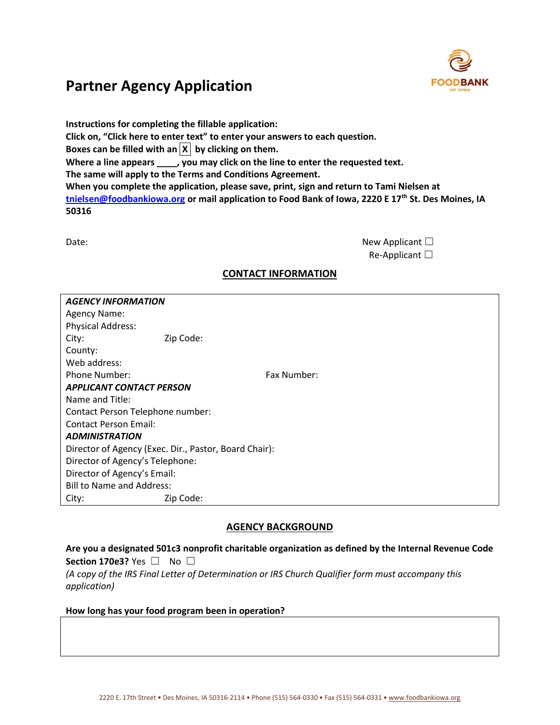

**Instructions for completing the fillable application: Click on, "Click here to enter text" to enter your answers to each question.**  Boxes can be filled with an  $\overline{X}$  by clicking on them. **Where a line appears \_\_\_\_, you may click on the line to enter the requested text. The same will apply to the Terms and Conditions Agreement. When you complete the application, please save, print, sign and return to Tami Nielsen at [tnielsen@foodbankiowa.org](mailto:tnielsen@foodbankiowa.org) or mail application to Food Bank of Iowa, 2220 E 17th St. Des Moines, IA 50316**

| Date: | New Applicant $\square$ |
|-------|-------------------------|
|       | Re-Applicant $\square$  |

#### **CONTACT INFORMATION**

| <b>AGENCY INFORMATION</b>                             |             |  |  |  |  |
|-------------------------------------------------------|-------------|--|--|--|--|
| Agency Name:                                          |             |  |  |  |  |
| <b>Physical Address:</b>                              |             |  |  |  |  |
| City:                                                 | Zip Code:   |  |  |  |  |
| County:                                               |             |  |  |  |  |
| Web address:                                          |             |  |  |  |  |
| Phone Number:                                         | Fax Number: |  |  |  |  |
| <b>APPLICANT CONTACT PERSON</b>                       |             |  |  |  |  |
| Name and Title:                                       |             |  |  |  |  |
| Contact Person Telephone number:                      |             |  |  |  |  |
| <b>Contact Person Email:</b>                          |             |  |  |  |  |
| <b>ADMINISTRATION</b>                                 |             |  |  |  |  |
| Director of Agency (Exec. Dir., Pastor, Board Chair): |             |  |  |  |  |
| Director of Agency's Telephone:                       |             |  |  |  |  |
| Director of Agency's Email:                           |             |  |  |  |  |
| <b>Bill to Name and Address:</b>                      |             |  |  |  |  |
| City:                                                 | Zip Code:   |  |  |  |  |

#### **AGENCY BACKGROUND**

**Are you a designated 501c3 nonprofit charitable organization as defined by the Internal Revenue Code Section 170e3?** Yes □ No □ *(A copy of the IRS Final Letter of Determination or IRS Church Qualifier form must accompany this application)*

#### **How long has your food program been in operation?**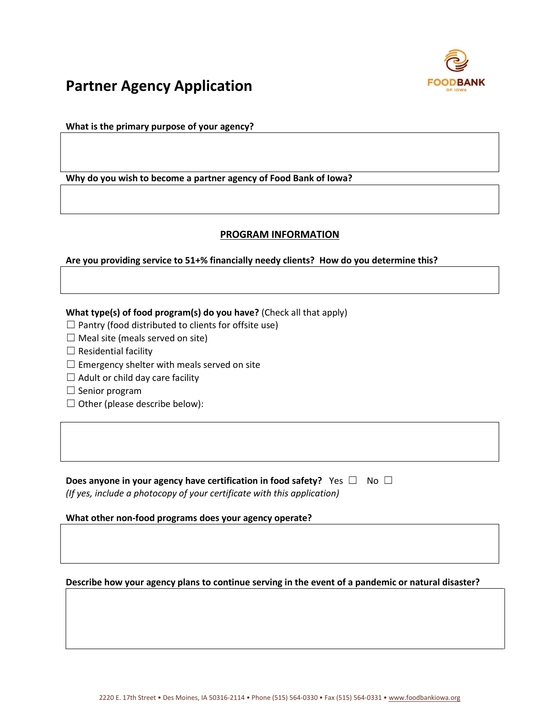

**What is the primary purpose of your agency?**

**Why do you wish to become a partner agency of Food Bank of Iowa?**

#### **PROGRAM INFORMATION**

#### **Are you providing service to 51+% financially needy clients? How do you determine this?**

**What type(s) of food program(s) do you have?** (Check all that apply)

 $\Box$  Pantry (food distributed to clients for offsite use)

- $\Box$  Meal site (meals served on site)
- $\Box$  Residential facility
- $\Box$  Emergency shelter with meals served on site
- $\Box$  Adult or child day care facility
- $\Box$  Senior program
- $\Box$  Other (please describe below):

**Does anyone in your agency have certification in food safety?** Yes □ No □ *(If yes, include a photocopy of your certificate with this application)*

**What other non-food programs does your agency operate?**

**Describe how your agency plans to continue serving in the event of a pandemic or natural disaster?**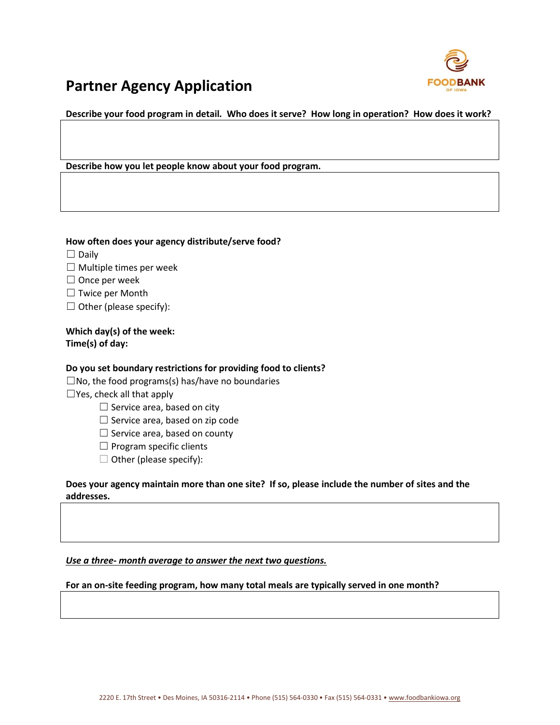

**Describe your food program in detail***.* **Who does it serve? How long in operation? How does it work?**

**Describe how you let people know about your food program.**

#### **How often does your agency distribute/serve food?**

- ☐ Daily
- $\Box$  Multiple times per week
- $\Box$  Once per week
- □ Twice per Month
- $\Box$  Other (please specify):

**Which day(s) of the week: Time(s) of day:** 

#### **Do you set boundary restrictions for providing food to clients?**

 $\square$ No, the food programs(s) has/have no boundaries

 $\Box$  Yes, check all that apply

- $\Box$  Service area, based on city
- $\Box$  Service area, based on zip code
- $\Box$  Service area, based on county
- ☐ Program specific clients
- $\Box$  Other (please specify):

**Does your agency maintain more than one site? If so, please include the number of sites and the addresses.**

*Use a three- month average to answer the next two questions.*

**For an on-site feeding program, how many total meals are typically served in one month?**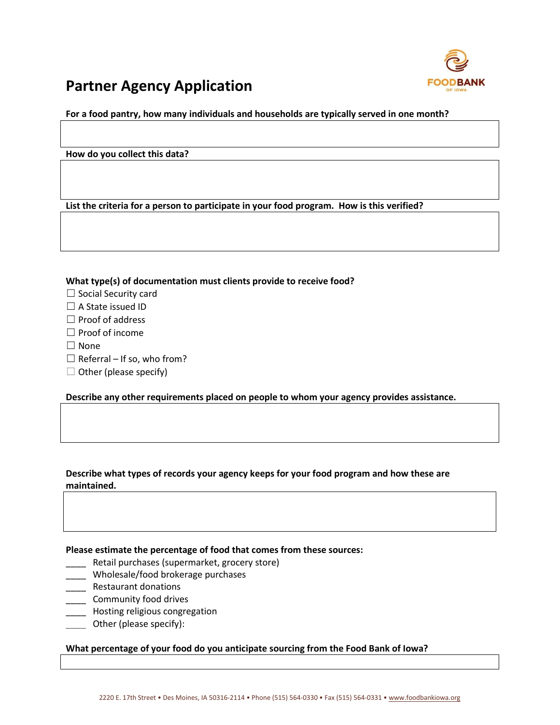

**For a food pantry, how many individuals and households are typically served in one month?**

**How do you collect this data?**

**List the criteria for a person to participate in your food program. How is this verified?**

**What type(s) of documentation must clients provide to receive food?**

- □ Social Security card
- □ A State issued ID
- ☐ Proof of address
- ☐ Proof of income
- $\Box$  None
- $\Box$  Referral If so, who from?
- $\Box$  Other (please specify)

**Describe any other requirements placed on people to whom your agency provides assistance.**

**Describe what types of records your agency keeps for your food program and how these are maintained.** 

**Please estimate the percentage of food that comes from these sources:**

- \_\_\_\_ Retail purchases (supermarket, grocery store)
- \_\_\_\_ Wholesale/food brokerage purchases
- \_\_\_\_ Restaurant donations
- \_\_\_\_ Community food drives
- **LETTE** Hosting religious congregation
- \_\_\_\_ Other (please specify):

#### **What percentage of your food do you anticipate sourcing from the Food Bank of Iowa?**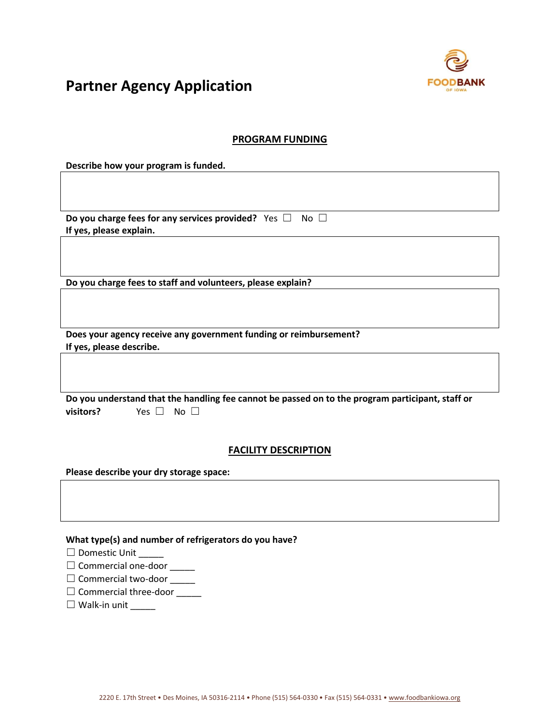

#### **PROGRAM FUNDING**

**Describe how your program is funded.**

**Do you charge fees for any services provided?** Yes □ No □ **If yes, please explain.**

**Do you charge fees to staff and volunteers, please explain?**

**Does your agency receive any government funding or reimbursement? If yes, please describe.**

|           |                      | Do you understand that the handling fee cannot be passed on to the program participant, staff or |
|-----------|----------------------|--------------------------------------------------------------------------------------------------|
| visitors? | Yes $\Box$ No $\Box$ |                                                                                                  |

#### **FACILITY DESCRIPTION**

**Please describe your dry storage space:** 

**What type(s) and number of refrigerators do you have?**

| $\Box$ Domestic Unit |
|----------------------|
|                      |

- □ Commercial one-door \_\_\_\_\_
- □ Commercial two-door \_\_\_\_\_
- □ Commercial three-door \_\_\_\_\_
- □ Walk-in unit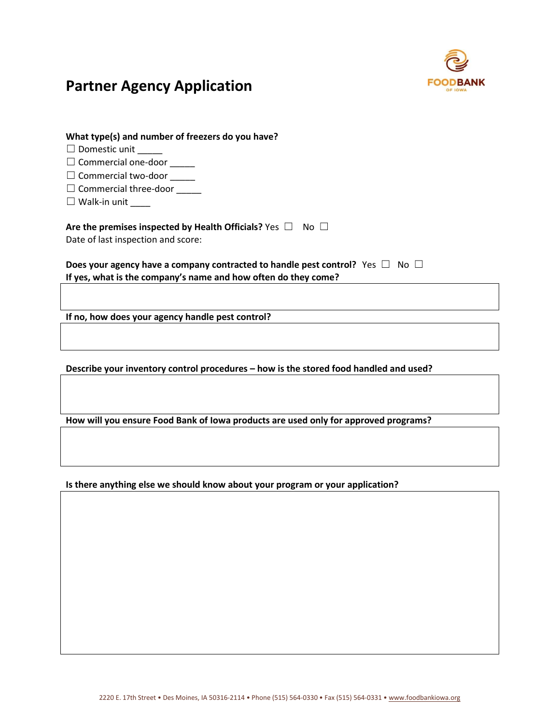

| What type(s) and number of freezers do you have?                     |  |  |  |  |
|----------------------------------------------------------------------|--|--|--|--|
| $\Box$ Domestic unit                                                 |  |  |  |  |
| $\Box$ Commercial one-door                                           |  |  |  |  |
| $\Box$ Commercial two-door                                           |  |  |  |  |
| $\Box$ Commercial three-door                                         |  |  |  |  |
| $\Box$ Walk-in unit _____                                            |  |  |  |  |
| Are the premises inspected by Health Officials? Yes $\Box$ No $\Box$ |  |  |  |  |

Date of last inspection and score:

#### **Does your agency have a company contracted to handle pest control?** Yes □ No □ **If yes, what is the company's name and how often do they come?**

**If no, how does your agency handle pest control?**

**Describe your inventory control procedures – how is the stored food handled and used?**

**How will you ensure Food Bank of Iowa products are used only for approved programs?**

**Is there anything else we should know about your program or your application?**